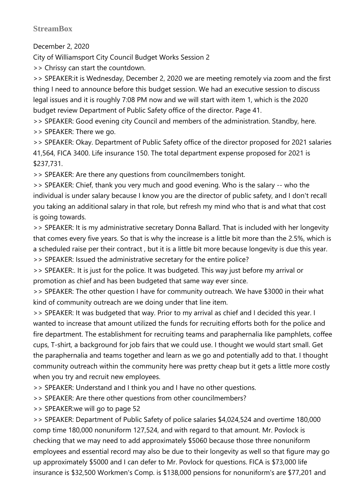## **StreamBox**

December 2, 2020

City of Williamsport City Council Budget Works Session 2

>> Chrissy can start the countdown.

>> SPEAKER:it is Wednesday, December 2, 2020 we are meeting remotely via zoom and the first thing I need to announce before this budget session. We had an executive session to discuss legal issues and it is roughly 7:08 PM now and we will start with item 1, which is the 2020 budget review Department of Public Safety office of the director. Page 41.

>> SPEAKER: Good evening city Council and members of the administration. Standby, here.

>> SPEAKER: There we go.

>> SPEAKER: Okay. Department of Public Safety office of the director proposed for 2021 salaries 41,564, FICA 3400. Life insurance 150. The total department expense proposed for 2021 is \$237,731.

>> SPEAKER: Are there any questions from councilmembers tonight.

>> SPEAKER: Chief, thank you very much and good evening. Who is the salary -- who the individual is under salary because I know you are the director of public safety, and I don't recall you taking an additional salary in that role, but refresh my mind who that is and what that cost is going towards.

>> SPEAKER: It is my administrative secretary Donna Ballard. That is included with her longevity that comes every five years. So that is why the increase is a little bit more than the 2.5%, which is a scheduled raise per their contract , but it is a little bit more because longevity is due this year. >> SPEAKER: Issued the administrative secretary for the entire police?

>> SPEAKER:. It is just for the police. It was budgeted. This way just before my arrival or promotion as chief and has been budgeted that same way ever since.

>> SPEAKER: The other question I have for community outreach. We have \$3000 in their what kind of community outreach are we doing under that line item.

>> SPEAKER: It was budgeted that way. Prior to my arrival as chief and I decided this year. I wanted to increase that amount utilized the funds for recruiting efforts both for the police and fire department. The establishment for recruiting teams and paraphernalia like pamphlets, coffee cups, T-shirt, a background for job fairs that we could use. I thought we would start small. Get the paraphernalia and teams together and learn as we go and potentially add to that. I thought community outreach within the community here was pretty cheap but it gets a little more costly when you try and recruit new employees.

>> SPEAKER: Understand and I think you and I have no other questions.

>> SPEAKER: Are there other questions from other councilmembers?

>> SPEAKER:we will go to page 52

>> SPEAKER: Department of Public Safety of police salaries \$4,024,524 and overtime 180,000 comp time 180,000 nonuniform 127,524, and with regard to that amount. Mr. Povlock is checking that we may need to add approximately \$5060 because those three nonuniform employees and essential record may also be due to their longevity as well so that figure may go up approximately \$5000 and I can defer to Mr. Povlock for questions. FICA is \$73,000 life insurance is \$32,500 Workmen's Comp. is \$138,000 pensions for nonuniform's are \$77,201 and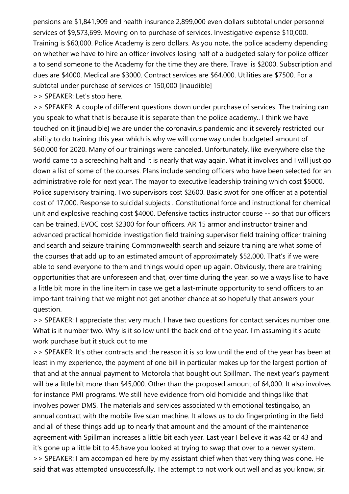pensions are \$1,841,909 and health insurance 2,899,000 even dollars subtotal under personnel services of \$9,573,699. Moving on to purchase of services. Investigative expense \$10,000. Training is \$60,000. Police Academy is zero dollars. As you note, the police academy depending on whether we have to hire an officer involves losing half of a budgeted salary for police officer a to send someone to the Academy for the time they are there. Travel is \$2000. Subscription and dues are \$4000. Medical are \$3000. Contract services are \$64,000. Utilities are \$7500. For a subtotal under purchase of services of 150,000 [inaudible]

>> SPEAKER: Let's stop here.

>> SPEAKER: A couple of different questions down under purchase of services. The training can you speak to what that is because it is separate than the police academy.. I think we have touched on it [inaudible] we are under the coronavirus pandemic and it severely restricted our ability to do training this year which is why we will come way under budgeted amount of \$60,000 for 2020. Many of our trainings were canceled. Unfortunately, like everywhere else the world came to a screeching halt and it is nearly that way again. What it involves and I will just go down a list of some of the courses. Plans include sending officers who have been selected for an administrative role for next year. The mayor to executive leadership training which cost \$5000. Police supervisory training. Two supervisors cost \$2600. Basic swot for one officer at a potential cost of 17,000. Response to suicidal subjects . Constitutional force and instructional for chemical unit and explosive reaching cost \$4000. Defensive tactics instructor course -- so that our officers can be trained. EVOC cost \$2300 for four officers. AR 15 armor and instructor trainer and advanced practical homicide investigation field training supervisor field training officer training and search and seizure training Commonwealth search and seizure training are what some of the courses that add up to an estimated amount of approximately \$52,000. That's if we were able to send everyone to them and things would open up again. Obviously, there are training opportunities that are unforeseen and that, over time during the year, so we always like to have a little bit more in the line item in case we get a last-minute opportunity to send officers to an important training that we might not get another chance at so hopefully that answers your question.

>> SPEAKER: I appreciate that very much. I have two questions for contact services number one. What is it number two. Why is it so low until the back end of the year. I'm assuming it's acute work purchase but it stuck out to me

>> SPEAKER: It's other contracts and the reason it is so low until the end of the year has been at least in my experience, the payment of one bill in particular makes up for the largest portion of that and at the annual payment to Motorola that bought out Spillman. The next year's payment will be a little bit more than \$45,000. Other than the proposed amount of 64,000. It also involves for instance PMI programs. We still have evidence from old homicide and things like that involves power DMS. The materials and services associated with emotional testingalso, an annual contract with the mobile live scan machine. It allows us to do fingerprinting in the field and all of these things add up to nearly that amount and the amount of the maintenance agreement with Spillman increases a little bit each year. Last year I believe it was 42 or 43 and it's gone up a little bit to 45.have you looked at trying to swap that over to a newer system. >> SPEAKER: I am accompanied here by my assistant chief when that very thing was done. He said that was attempted unsuccessfully. The attempt to not work out well and as you know, sir.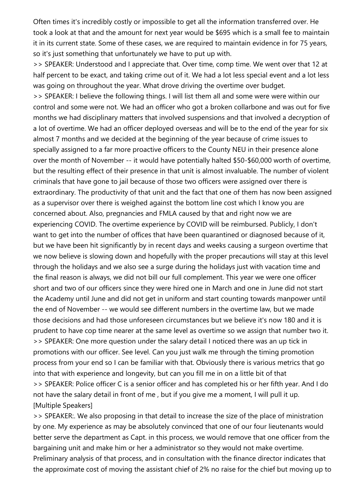Often times it's incredibly costly or impossible to get all the information transferred over. He took a look at that and the amount for next year would be \$695 which is a small fee to maintain it in its current state. Some of these cases, we are required to maintain evidence in for 75 years, so it's just something that unfortunately we have to put up with.

>> SPEAKER: Understood and I appreciate that. Over time, comp time. We went over that 12 at half percent to be exact, and taking crime out of it. We had a lot less special event and a lot less was going on throughout the year. What drove driving the overtime over budget.

>> SPEAKER: I believe the following things. I will list them all and some were were within our control and some were not. We had an officer who got a broken collarbone and was out for five months we had disciplinary matters that involved suspensions and that involved a decryption of a lot of overtime. We had an officer deployed overseas and will be to the end of the year for six almost 7 months and we decided at the beginning of the year because of crime issues to specially assigned to a far more proactive officers to the County NEU in their presence alone over the month of November -- it would have potentially halted \$50-\$60,000 worth of overtime, but the resulting effect of their presence in that unit is almost invaluable. The number of violent criminals that have gone to jail because of those two officers were assigned over there is extraordinary. The productivity of that unit and the fact that one of them has now been assigned as a supervisor over there is weighed against the bottom line cost which I know you are concerned about. Also, pregnancies and FMLA caused by that and right now we are experiencing COVID. The overtime experience by COVID will be reimbursed. Publicly, I don't want to get into the number of offices that have been quarantined or diagnosed because of it, but we have been hit significantly by in recent days and weeks causing a surgeon overtime that we now believe is slowing down and hopefully with the proper precautions will stay at this level through the holidays and we also see a surge during the holidays just with vacation time and the final reason is always, we did not bill our full complement. This year we were one officer short and two of our officers since they were hired one in March and one in June did not start the Academy until June and did not get in uniform and start counting towards manpower until the end of November -- we would see different numbers in the overtime law, but we made those decisions and had those unforeseen circumstances but we believe it's now 180 and it is prudent to have cop time nearer at the same level as overtime so we assign that number two it. >> SPEAKER: One more question under the salary detail I noticed there was an up tick in promotions with our officer. See level. Can you just walk me through the timing promotion process from your end so I can be familiar with that. Obviously there is various metrics that go into that with experience and longevity, but can you fill me in on a little bit of that >> SPEAKER: Police officer C is a senior officer and has completed his or her fifth year. And I do not have the salary detail in front of me , but if you give me a moment, I will pull it up. [Multiple Speakers]

>> SPEAKER:. We also proposing in that detail to increase the size of the place of ministration by one. My experience as may be absolutely convinced that one of our four lieutenants would better serve the department as Capt. in this process, we would remove that one officer from the bargaining unit and make him or her a administrator so they would not make overtime. Preliminary analysis of that process, and in consultation with the finance director indicates that the approximate cost of moving the assistant chief of 2% no raise for the chief but moving up to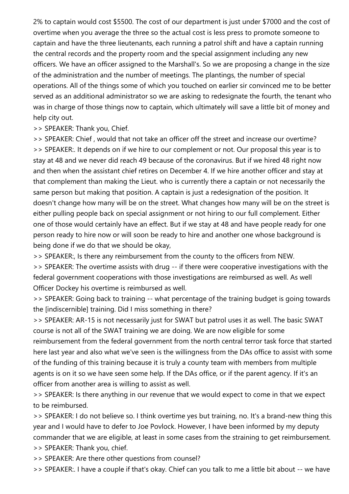2% to captain would cost \$5500. The cost of our department is just under \$7000 and the cost of overtime when you average the three so the actual cost is less press to promote someone to captain and have the three lieutenants, each running a patrol shift and have a captain running the central records and the property room and the special assignment including any new officers. We have an officer assigned to the Marshall's. So we are proposing a change in the size of the administration and the number of meetings. The plantings, the number of special operations. All of the things some of which you touched on earlier sir convinced me to be better served as an additional administrator so we are asking to redesignate the fourth, the tenant who was in charge of those things now to captain, which ultimately will save a little bit of money and help city out.

>> SPEAKER: Thank you, Chief.

>> SPEAKER: Chief , would that not take an officer off the street and increase our overtime? >> SPEAKER:. It depends on if we hire to our complement or not. Our proposal this year is to stay at 48 and we never did reach 49 because of the coronavirus. But if we hired 48 right now and then when the assistant chief retires on December 4. If we hire another officer and stay at that complement than making the Lieut. who is currently there a captain or not necessarily the same person but making that position. A captain is just a redesignation of the position. It doesn't change how many will be on the street. What changes how many will be on the street is either pulling people back on special assignment or not hiring to our full complement. Either one of those would certainly have an effect. But if we stay at 48 and have people ready for one person ready to hire now or will soon be ready to hire and another one whose background is being done if we do that we should be okay,

>> SPEAKER:, Is there any reimbursement from the county to the officers from NEW.

>> SPEAKER: The overtime assists with drug -- if there were cooperative investigations with the federal government cooperations with those investigations are reimbursed as well. As well Officer Dockey his overtime is reimbursed as well.

>> SPEAKER: Going back to training -- what percentage of the training budget is going towards the [indiscernible] training. Did I miss something in there?

>> SPEAKER: AR-15 is not necessarily just for SWAT but patrol uses it as well. The basic SWAT course is not all of the SWAT training we are doing. We are now eligible for some reimbursement from the federal government from the north central terror task force that started here last year and also what we've seen is the willingness from the DAs office to assist with some of the funding of this training because it is truly a county team with members from multiple agents is on it so we have seen some help. If the DAs office, or if the parent agency. If it's an officer from another area is willing to assist as well.

>> SPEAKER: Is there anything in our revenue that we would expect to come in that we expect to be reimbursed.

>> SPEAKER: I do not believe so. I think overtime yes but training, no. It's a brand-new thing this year and I would have to defer to Joe Povlock. However, I have been informed by my deputy commander that we are eligible, at least in some cases from the straining to get reimbursement. >> SPEAKER: Thank you, chief.

>> SPEAKER: Are there other questions from counsel?

>> SPEAKER:. I have a couple if that's okay. Chief can you talk to me a little bit about -- we have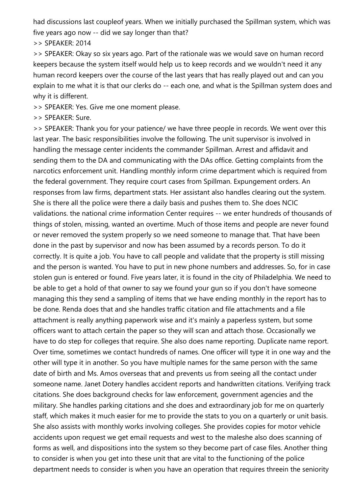had discussions last coupleof years. When we initially purchased the Spillman system, which was five years ago now -- did we say longer than that?

>> SPEAKER: 2014

>> SPEAKER: Okay so six years ago. Part of the rationale was we would save on human record keepers because the system itself would help us to keep records and we wouldn't need it any human record keepers over the course of the last years that has really played out and can you explain to me what it is that our clerks do -- each one, and what is the Spillman system does and why it is different.

>> SPEAKER: Yes. Give me one moment please.

>> SPEAKER: Sure.

>> SPEAKER: Thank you for your patience/ we have three people in records. We went over this last year. The basic responsibilities involve the following. The unit supervisor is involved in handling the message center incidents the commander Spillman. Arrest and affidavit and sending them to the DA and communicating with the DAs office. Getting complaints from the narcotics enforcement unit. Handling monthly inform crime department which is required from the federal government. They require court cases from Spillman. Expungement orders. An responses from law firms, department stats. Her assistant also handles clearing out the system. She is there all the police were there a daily basis and pushes them to. She does NCIC validations. the national crime information Center requires -- we enter hundreds of thousands of things of stolen, missing, wanted an overtime. Much of those items and people are never found or never removed the system properly so we need someone to manage that. That have been done in the past by supervisor and now has been assumed by a records person. To do it correctly. It is quite a job. You have to call people and validate that the property is still missing and the person is wanted. You have to put in new phone numbers and addresses. So, for in case stolen gun is entered or found. Five years later, it is found in the city of Philadelphia. We need to be able to get a hold of that owner to say we found your gun so if you don't have someone managing this they send a sampling of items that we have ending monthly in the report has to be done. Renda does that and she handles traffic citation and file attachments and a file attachment is really anything paperwork wise and it's mainly a paperless system, but some officers want to attach certain the paper so they will scan and attach those. Occasionally we have to do step for colleges that require. She also does name reporting. Duplicate name report. Over time, sometimes we contact hundreds of names. One officer will type it in one way and the other will type it in another. So you have multiple names for the same person with the same date of birth and Ms. Amos overseas that and prevents us from seeing all the contact under someone name. Janet Dotery handles accident reports and handwritten citations. Verifying track citations. She does background checks for law enforcement, government agencies and the military. She handles parking citations and she does and extraordinary job for me on quarterly staff, which makes it much easier for me to provide the stats to you on a quarterly or unit basis. She also assists with monthly works involving colleges. She provides copies for motor vehicle accidents upon request we get email requests and west to the maleshe also does scanning of forms as well, and dispositions into the system so they become part of case files. Another thing to consider is when you get into these unit that are vital to the functioning of the police department needs to consider is when you have an operation that requires threein the seniority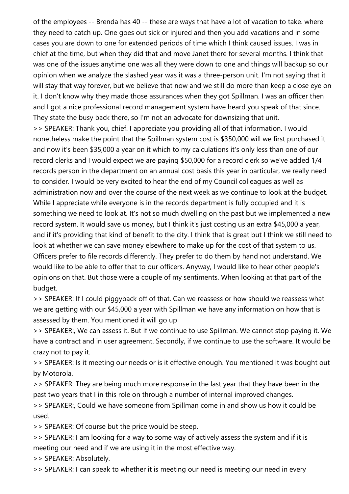of the employees -- Brenda has 40 -- these are ways that have a lot of vacation to take. where they need to catch up. One goes out sick or injured and then you add vacations and in some cases you are down to one for extended periods of time which I think caused issues. I was in chief at the time, but when they did that and move Janet there for several months. I think that was one of the issues anytime one was all they were down to one and things will backup so our opinion when we analyze the slashed year was it was a three-person unit. I'm not saying that it will stay that way forever, but we believe that now and we still do more than keep a close eye on it. I don't know why they made those assurances when they got Spillman. I was an officer then and I got a nice professional record management system have heard you speak of that since. They state the busy back there, so I'm not an advocate for downsizing that unit. >> SPEAKER: Thank you, chief. I appreciate you providing all of that information. I would nonetheless make the point that the Spillman system cost is \$350,000 will we first purchased it and now it's been \$35,000 a year on it which to my calculations it's only less than one of our record clerks and I would expect we are paying \$50,000 for a record clerk so we've added 1/4 records person in the department on an annual cost basis this year in particular, we really need to consider. I would be very excited to hear the end of my Council colleagues as well as administration now and over the course of the next week as we continue to look at the budget. While I appreciate while everyone is in the records department is fully occupied and it is something we need to look at. It's not so much dwelling on the past but we implemented a new record system. It would save us money, but I think it's just costing us an extra \$45,000 a year, and if it's providing that kind of benefit to the city. I think that is great but I think we still need to look at whether we can save money elsewhere to make up for the cost of that system to us. Officers prefer to file records differently. They prefer to do them by hand not understand. We would like to be able to offer that to our officers. Anyway, I would like to hear other people's opinions on that. But those were a couple of my sentiments. When looking at that part of the

budget. >> SPEAKER: If I could piggyback off of that. Can we reassess or how should we reassess what we are getting with our \$45,000 a year with Spillman we have any information on how that is assessed by them. You mentioned it will go up

>> SPEAKER:, We can assess it. But if we continue to use Spillman. We cannot stop paying it. We have a contract and in user agreement. Secondly, if we continue to use the software. It would be crazy not to pay it.

>> SPEAKER: Is it meeting our needs or is it effective enough. You mentioned it was bought out by Motorola.

>> SPEAKER: They are being much more response in the last year that they have been in the past two years that I in this role on through a number of internal improved changes.

>> SPEAKER:, Could we have someone from Spillman come in and show us how it could be used.

>> SPEAKER: Of course but the price would be steep.

>> SPEAKER: I am looking for a way to some way of actively assess the system and if it is meeting our need and if we are using it in the most effective way.

>> SPEAKER: Absolutely.

>> SPEAKER: I can speak to whether it is meeting our need is meeting our need in every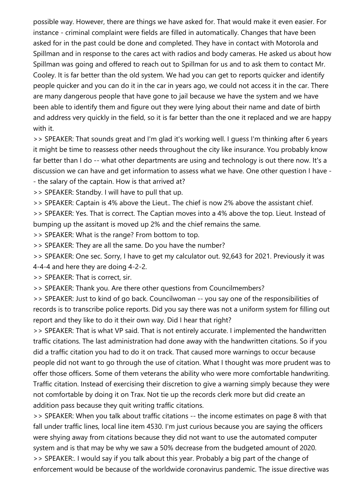possible way. However, there are things we have asked for. That would make it even easier. For instance - criminal complaint were fields are filled in automatically. Changes that have been asked for in the past could be done and completed. They have in contact with Motorola and Spillman and in response to the cares act with radios and body cameras. He asked us about how Spillman was going and offered to reach out to Spillman for us and to ask them to contact Mr. Cooley. It is far better than the old system. We had you can get to reports quicker and identify people quicker and you can do it in the car in years ago, we could not access it in the car. There are many dangerous people that have gone to jail because we have the system and we have been able to identify them and figure out they were lying about their name and date of birth and address very quickly in the field, so it is far better than the one it replaced and we are happy with it.

>> SPEAKER: That sounds great and I'm glad it's working well. I guess I'm thinking after 6 years it might be time to reassess other needs throughout the city like insurance. You probably know far better than I do -- what other departments are using and technology is out there now. It's a discussion we can have and get information to assess what we have. One other question I have - - the salary of the captain. How is that arrived at?

>> SPEAKER: Standby. I will have to pull that up.

>> SPEAKER: Captain is 4% above the Lieut.. The chief is now 2% above the assistant chief.

>> SPEAKER: Yes. That is correct. The Captian moves into a 4% above the top. Lieut. Instead of bumping up the assitant is moved up 2% and the chief remains the same.

>> SPEAKER: What is the range? From bottom to top.

>> SPEAKER: They are all the same. Do you have the number?

>> SPEAKER: One sec. Sorry, I have to get my calculator out. 92,643 for 2021. Previously it was

4-4-4 and here they are doing 4-2-2.

>> SPEAKER: That is correct, sir.

>> SPEAKER: Thank you. Are there other questions from Councilmembers?

>> SPEAKER: Just to kind of go back. Councilwoman -- you say one of the responsibilities of records is to transcribe police reports. Did you say there was not a uniform system for filling out report and they like to do it their own way. Did I hear that right?

>> SPEAKER: That is what VP said. That is not entirely accurate. I implemented the handwritten traffic citations. The last administration had done away with the handwritten citations. So if you did a traffic citation you had to do it on track. That caused more warnings to occur because people did not want to go through the use of citation. What I thought was more prudent was to offer those officers. Some of them veterans the ability who were more comfortable handwriting. Traffic citation. Instead of exercising their discretion to give a warning simply because they were not comfortable by doing it on Trax. Not tie up the records clerk more but did create an addition pass because they quit writing traffic citations.

>> SPEAKER: When you talk about traffic citations -- the income estimates on page 8 with that fall under traffic lines, local line item 4530. I'm just curious because you are saying the officers were shying away from citations because they did not want to use the automated computer system and is that may be why we saw a 50% decrease from the budgeted amount of 2020. >> SPEAKER:. I would say if you talk about this year. Probably a big part of the change of enforcement would be because of the worldwide coronavirus pandemic. The issue directive was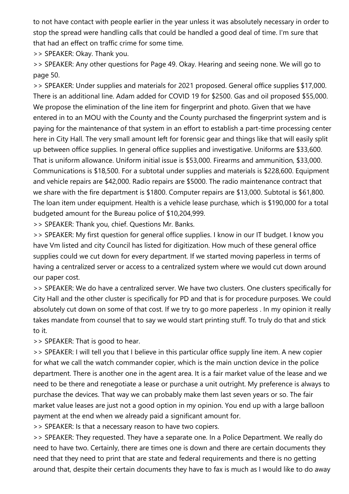to not have contact with people earlier in the year unless it was absolutely necessary in order to stop the spread were handling calls that could be handled a good deal of time. I'm sure that that had an effect on traffic crime for some time.

>> SPEAKER: Okay. Thank you.

>> SPEAKER: Any other questions for Page 49. Okay. Hearing and seeing none. We will go to page 50.

>> SPEAKER: Under supplies and materials for 2021 proposed. General office supplies \$17,000. There is an additional line. Adam added for COVID 19 for \$2500. Gas and oil proposed \$55,000. We propose the elimination of the line item for fingerprint and photo. Given that we have entered in to an MOU with the County and the County purchased the fingerprint system and is paying for the maintenance of that system in an effort to establish a part-time processing center here in City Hall. The very small amount left for forensic gear and things like that will easily split up between office supplies. In general office supplies and investigative. Uniforms are \$33,600. That is uniform allowance. Uniform initial issue is \$53,000. Firearms and ammunition, \$33,000. Communications is \$18,500. For a subtotal under supplies and materials is \$228,600. Equipment and vehicle repairs are \$42,000. Radio repairs are \$5000. The radio maintenance contract that we share with the fire department is \$1800. Computer repairs are \$13,000. Subtotal is \$61,800. The loan item under equipment. Health is a vehicle lease purchase, which is \$190,000 for a total budgeted amount for the Bureau police of \$10,204,999.

>> SPEAKER: Thank you, chief. Questions Mr. Banks.

>> SPEAKER: My first question for general office supplies. I know in our IT budget. I know you have Vm listed and city Council has listed for digitization. How much of these general office supplies could we cut down for every department. If we started moving paperless in terms of having a centralized server or access to a centralized system where we would cut down around our paper cost.

>> SPEAKER: We do have a centralized server. We have two clusters. One clusters specifically for City Hall and the other cluster is specifically for PD and that is for procedure purposes. We could absolutely cut down on some of that cost. If we try to go more paperless . In my opinion it really takes mandate from counsel that to say we would start printing stuff. To truly do that and stick to it.

>> SPEAKER: That is good to hear.

>> SPEAKER: I will tell you that I believe in this particular office supply line item. A new copier for what we call the watch commander copier, which is the main unction device in the police department. There is another one in the agent area. It is a fair market value of the lease and we need to be there and renegotiate a lease or purchase a unit outright. My preference is always to purchase the devices. That way we can probably make them last seven years or so. The fair market value leases are just not a good option in my opinion. You end up with a large balloon payment at the end when we already paid a significant amount for.

>> SPEAKER: Is that a necessary reason to have two copiers.

>> SPEAKER: They requested. They have a separate one. In a Police Department. We really do need to have two. Certainly, there are times one is down and there are certain documents they need that they need to print that are state and federal requirements and there is no getting around that, despite their certain documents they have to fax is much as I would like to do away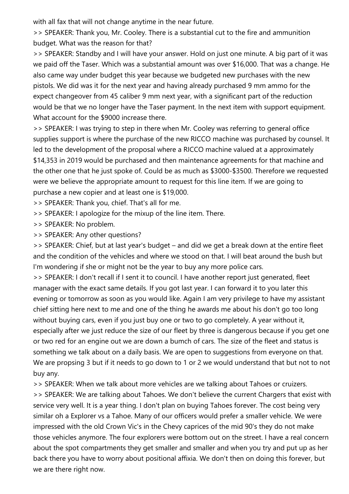with all fax that will not change anytime in the near future.

>> SPEAKER: Thank you, Mr. Cooley. There is a substantial cut to the fire and ammunition budget. What was the reason for that?

>> SPEAKER: Standby and I will have your answer. Hold on just one minute. A big part of it was we paid off the Taser. Which was a substantial amount was over \$16,000. That was a change. He also came way under budget this year because we budgeted new purchases with the new pistols. We did was it for the next year and having already purchased 9 mm ammo for the expect changeover from 45 caliber 9 mm next year, with a significant part of the reduction would be that we no longer have the Taser payment. In the next item with support equipment. What account for the \$9000 increase there.

>> SPEAKER: I was trying to step in there when Mr. Cooley was referring to general office supplies support is where the purchase of the new RICCO machine was purchased by counsel. It led to the development of the proposal where a RICCO machine valued at a approximately \$14,353 in 2019 would be purchased and then maintenance agreements for that machine and the other one that he just spoke of. Could be as much as \$3000-\$3500. Therefore we requested were we believe the appropriate amount to request for this line item. If we are going to purchase a new copier and at least one is \$19,000.

>> SPEAKER: Thank you, chief. That's all for me.

>> SPEAKER: I apologize for the mixup of the line item. There.

>> SPEAKER: No problem.

>> SPEAKER: Any other questions?

>> SPEAKER: Chief, but at last year's budget – and did we get a break down at the entire fleet and the condition of the vehicles and where we stood on that. I will beat around the bush but I'm wondering if she or might not be the year to buy any more police cars.

>> SPEAKER: I don't recall if I sent it to council. I have another report just generated, fleet manager with the exact same details. If you got last year. I can forward it to you later this evening or tomorrow as soon as you would like. Again I am very privilege to have my assistant chief sitting here next to me and one of the thing he awards me about his don't go too long without buying cars, even if you just buy one or two to go completely. A year without it, especially after we just reduce the size of our fleet by three is dangerous because if you get one or two red for an engine out we are down a bumch of cars. The size of the fleet and status is something we talk about on a daily basis. We are open to suggestions from everyone on that. We are propsing 3 but if it needs to go down to 1 or 2 we would understand that but not to not buy any.

>> SPEAKER: When we talk about more vehicles are we talking about Tahoes or cruizers.

>> SPEAKER: We are talking about Tahoes. We don't believe the current Chargers that exist with service very well. It is a year thing. I don't plan on buying Tahoes forever. The cost being very similar oh a Explorer vs a Tahoe. Many of our officers would prefer a smaller vehicle. We were impressed with the old Crown Vic's in the Chevy caprices of the mid 90's they do not make those vehicles anymore. The four explorers were bottom out on the street. I have a real concern about the spot compartments they get smaller and smaller and when you try and put up as her back there you have to worry about positional affixia. We don't then on doing this forever, but we are there right now.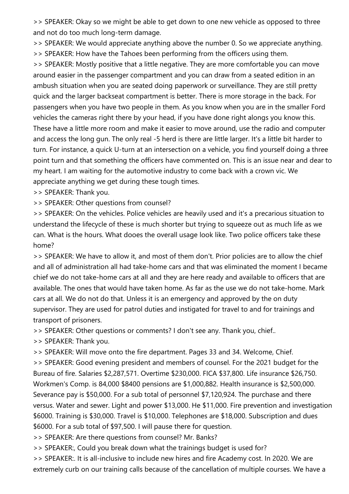>> SPEAKER: Okay so we might be able to get down to one new vehicle as opposed to three and not do too much long-term damage.

>> SPEAKER: We would appreciate anything above the number 0. So we appreciate anything. >> SPEAKER: How have the Tahoes been performing from the officers using them.

>> SPEAKER: Mostly positive that a little negative. They are more comfortable you can move around easier in the passenger compartment and you can draw from a seated edition in an ambush situation when you are seated doing paperwork or surveillance. They are still pretty quick and the larger backseat compartment is better. There is more storage in the back. For passengers when you have two people in them. As you know when you are in the smaller Ford vehicles the cameras right there by your head, if you have done right alongs you know this. These have a little more room and make it easier to move around, use the radio and computer and access the long gun. The only real -5 herd is there are little larger. It's a little bit harder to turn. For instance, a quick U-turn at an intersection on a vehicle, you find yourself doing a three point turn and that something the officers have commented on. This is an issue near and dear to my heart. I am waiting for the automotive industry to come back with a crown vic. We appreciate anything we get during these tough times.

>> SPEAKER: Thank you.

>> SPEAKER: Other questions from counsel?

>> SPEAKER: On the vehicles. Police vehicles are heavily used and it's a precarious situation to understand the lifecycle of these is much shorter but trying to squeeze out as much life as we can. What is the hours. What dooes the overall usage look like. Two police officers take these home?

>> SPEAKER: We have to allow it, and most of them don't. Prior policies are to allow the chief and all of administration all had take-home cars and that was eliminated the moment I became chief we do not take-home cars at all and they are here ready and available to officers that are available. The ones that would have taken home. As far as the use we do not take-home. Mark cars at all. We do not do that. Unless it is an emergency and approved by the on duty supervisor. They are used for patrol duties and instigated for travel to and for trainings and transport of prisoners.

>> SPEAKER: Other questions or comments? I don't see any. Thank you, chief..

>> SPEAKER: Thank you.

>> SPEAKER: Will move onto the fire department. Pages 33 and 34. Welcome, Chief.

>> SPEAKER: Good evening president and members of counsel. For the 2021 budget for the Bureau of fire. Salaries \$2,287,571. Overtime \$230,000. FICA \$37,800. Life insurance \$26,750. Workmen's Comp. is 84,000 \$8400 pensions are \$1,000,882. Health insurance is \$2,500,000. Severance pay is \$50,000. For a sub total of personnel \$7,120,924. The purchase and there versus. Water and sewer. Light and power \$13,000. He \$11,000. Fire prevention and investigation \$6000. Training is \$30,000. Travel is \$10,000. Telephones are \$18,000. Subscription and dues \$6000. For a sub total of \$97,500. I will pause there for question.

>> SPEAKER: Are there questions from counsel? Mr. Banks?

>> SPEAKER:, Could you break down what the trainings budget is used for?

>> SPEAKER:. It is all-inclusive to include new hires and fire Academy cost. In 2020. We are extremely curb on our training calls because of the cancellation of multiple courses. We have a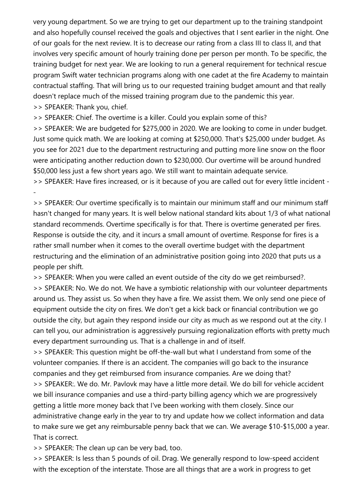very young department. So we are trying to get our department up to the training standpoint and also hopefully counsel received the goals and objectives that I sent earlier in the night. One of our goals for the next review. It is to decrease our rating from a class III to class II, and that involves very specific amount of hourly training done per person per month. To be specific, the training budget for next year. We are looking to run a general requirement for technical rescue program Swift water technician programs along with one cadet at the fire Academy to maintain contractual staffing. That will bring us to our requested training budget amount and that really doesn't replace much of the missed training program due to the pandemic this year. >> SPEAKER: Thank you, chief.

>> SPEAKER: Chief. The overtime is a killer. Could you explain some of this?

>> SPEAKER: We are budgeted for \$275,000 in 2020. We are looking to come in under budget. Just some quick math. We are looking at coming at \$250,000. That's \$25,000 under budget. As you see for 2021 due to the department restructuring and putting more line snow on the floor were anticipating another reduction down to \$230,000. Our overtime will be around hundred \$50,000 less just a few short years ago. We still want to maintain adequate service.

>> SPEAKER: Have fires increased, or is it because of you are called out for every little incident - -

>> SPEAKER: Our overtime specifically is to maintain our minimum staff and our minimum staff hasn't changed for many years. It is well below national standard kits about 1/3 of what national standard recommends. Overtime specifically is for that. There is overtime generated per fires. Response is outside the city, and it incurs a small amount of overtime. Response for fires is a rather small number when it comes to the overall overtime budget with the department restructuring and the elimination of an administrative position going into 2020 that puts us a people per shift.

>> SPEAKER: When you were called an event outside of the city do we get reimbursed?.

>> SPEAKER: No. We do not. We have a symbiotic relationship with our volunteer departments around us. They assist us. So when they have a fire. We assist them. We only send one piece of equipment outside the city on fires. We don't get a kick back or financial contribution we go outside the city, but again they respond inside our city as much as we respond out at the city. I can tell you, our administration is aggressively pursuing regionalization efforts with pretty much every department surrounding us. That is a challenge in and of itself.

>> SPEAKER: This question might be off-the-wall but what I understand from some of the volunteer companies. If there is an accident. The companies will go back to the insurance companies and they get reimbursed from insurance companies. Are we doing that? >> SPEAKER:. We do. Mr. Pavlovk may have a little more detail. We do bill for vehicle accident we bill insurance companies and use a third-party billing agency which we are progressively getting a little more money back that I've been working with them closely. Since our administrative change early in the year to try and update how we collect information and data to make sure we get any reimbursable penny back that we can. We average \$10-\$15,000 a year. That is correct.

>> SPEAKER: The clean up can be very bad, too.

>> SPEAKER: Is less than 5 pounds of oil. Drag. We generally respond to low-speed accident with the exception of the interstate. Those are all things that are a work in progress to get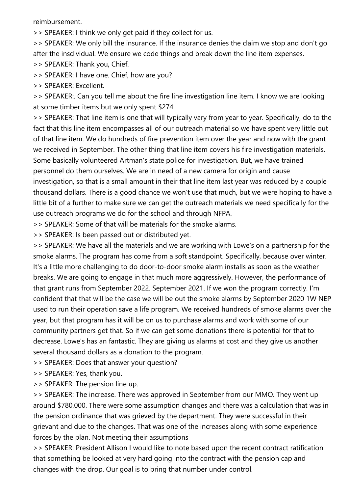reimbursement.

>> SPEAKER: I think we only get paid if they collect for us.

>> SPEAKER: We only bill the insurance. If the insurance denies the claim we stop and don't go after the insdividual. We ensure we code things and break down the line item expenses.

>> SPEAKER: Thank you, Chief.

>> SPEAKER: I have one. Chief, how are you?

>> SPEAKER: Excellent.

>> SPEAKER:. Can you tell me about the fire line investigation line item. I know we are looking at some timber items but we only spent \$274.

>> SPEAKER: That line item is one that will typically vary from year to year. Specifically, do to the fact that this line item encompasses all of our outreach material so we have spent very little out of that line item. We do hundreds of fire prevention item over the year and now with the grant we received in September. The other thing that line item covers his fire investigation materials. Some basically volunteered Artman's state police for investigation. But, we have trained personnel do them ourselves. We are in need of a new camera for origin and cause investigation, so that is a small amount in their that line item last year was reduced by a couple thousand dollars. There is a good chance we won't use that much, but we were hoping to have a little bit of a further to make sure we can get the outreach materials we need specifically for the use outreach programs we do for the school and through NFPA.

>> SPEAKER: Some of that will be materials for the smoke alarms.

>> SPEAKER: Is been passed out or distributed yet.

>> SPEAKER: We have all the materials and we are working with Lowe's on a partnership for the smoke alarms. The program has come from a soft standpoint. Specifically, because over winter. It's a little more challenging to do door-to-door smoke alarm installs as soon as the weather breaks. We are going to engage in that much more aggressively. However, the performance of that grant runs from September 2022. September 2021. If we won the program correctly. I'm confident that that will be the case we will be out the smoke alarms by September 2020 1W NEP used to run their operation save a life program. We received hundreds of smoke alarms over the year, but that program has it will be on us to purchase alarms and work with some of our community partners get that. So if we can get some donations there is potential for that to decrease. Lowe's has an fantastic. They are giving us alarms at cost and they give us another several thousand dollars as a donation to the program.

>> SPEAKER: Does that answer your question?

>> SPEAKER: Yes, thank you.

>> SPEAKER: The pension line up.

>> SPEAKER: The increase. There was approved in September from our MMO. They went up around \$780,000. There were some assumption changes and there was a calculation that was in the pension ordinance that was grieved by the department. They were successful in their grievant and due to the changes. That was one of the increases along with some experience forces by the plan. Not meeting their assumptions

>> SPEAKER: President Allison I would like to note based upon the recent contract ratification that something be looked at very hard going into the contract with the pension cap and changes with the drop. Our goal is to bring that number under control.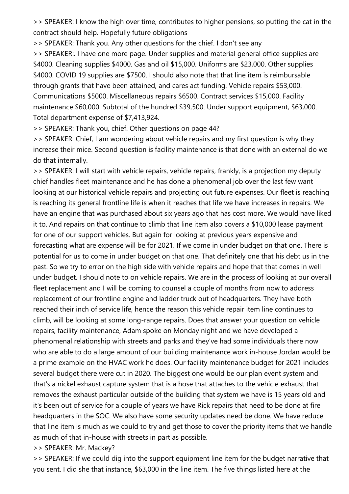>> SPEAKER: I know the high over time, contributes to higher pensions, so putting the cat in the contract should help. Hopefully future obligations

>> SPEAKER: Thank you. Any other questions for the chief. I don't see any

>> SPEAKER:. I have one more page. Under supplies and material general office supplies are \$4000. Cleaning supplies \$4000. Gas and oil \$15,000. Uniforms are \$23,000. Other supplies \$4000. COVID 19 supplies are \$7500. I should also note that that line item is reimbursable through grants that have been attained, and cares act funding. Vehicle repairs \$53,000. Communications \$5000. Miscellaneous repairs \$6500. Contract services \$15,000. Facility maintenance \$60,000. Subtotal of the hundred \$39,500. Under support equipment, \$63,000. Total department expense of \$7,413,924.

>> SPEAKER: Thank you, chief. Other questions on page 44?

>> SPEAKER: Chief, I am wondering about vehicle repairs and my first question is why they increase their mice. Second question is facility maintenance is that done with an external do we do that internally.

>> SPEAKER: I will start with vehicle repairs, vehicle repairs, frankly, is a projection my deputy chief handles fleet maintenance and he has done a phenomenal job over the last few want looking at our historical vehicle repairs and projecting out future expenses. Our fleet is reaching is reaching its general frontline life is when it reaches that life we have increases in repairs. We have an engine that was purchased about six years ago that has cost more. We would have liked it to. And repairs on that continue to climb that line item also covers a \$10,000 lease payment for one of our support vehicles. But again for looking at previous years expensive and forecasting what are expense will be for 2021. If we come in under budget on that one. There is potential for us to come in under budget on that one. That definitely one that his debt us in the past. So we try to error on the high side with vehicle repairs and hope that that comes in well under budget. I should note to on vehicle repairs. We are in the process of looking at our overall fleet replacement and I will be coming to counsel a couple of months from now to address replacement of our frontline engine and ladder truck out of headquarters. They have both reached their inch of service life, hence the reason this vehicle repair item line continues to climb, will be looking at some long-range repairs. Does that answer your question on vehicle repairs, facility maintenance, Adam spoke on Monday night and we have developed a phenomenal relationship with streets and parks and they've had some individuals there now who are able to do a large amount of our building maintenance work in-house Jordan would be a prime example on the HVAC work he does. Our facility maintenance budget for 2021 includes several budget there were cut in 2020. The biggest one would be our plan event system and that's a nickel exhaust capture system that is a hose that attaches to the vehicle exhaust that removes the exhaust particular outside of the building that system we have is 15 years old and it's been out of service for a couple of years we have Rick repairs that need to be done at fire headquarters in the SOC. We also have some security updates need be done. We have reduce that line item is much as we could to try and get those to cover the priority items that we handle as much of that in-house with streets in part as possible.

>> SPEAKER: Mr. Mackey?

>> SPEAKER: If we could dig into the support equipment line item for the budget narrative that you sent. I did she that instance, \$63,000 in the line item. The five things listed here at the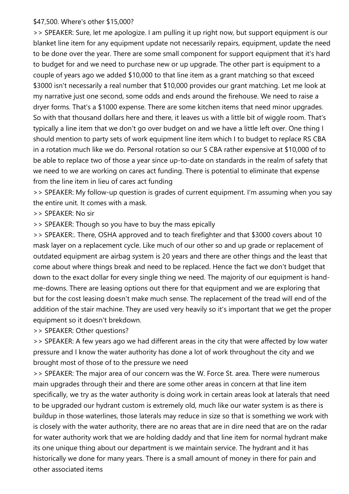## \$47,500. Where's other \$15,000?

>> SPEAKER: Sure, let me apologize. I am pulling it up right now, but support equipment is our blanket line item for any equipment update not necessarily repairs, equipment, update the need to be done over the year. There are some small component for support equipment that it's hard to budget for and we need to purchase new or up upgrade. The other part is equipment to a couple of years ago we added \$10,000 to that line item as a grant matching so that exceed \$3000 isn't necessarily a real number that \$10,000 provides our grant matching. Let me look at my narrative just one second, some odds and ends around the firehouse. We need to raise a dryer forms. That's a \$1000 expense. There are some kitchen items that need minor upgrades. So with that thousand dollars here and there, it leaves us with a little bit of wiggle room. That's typically a line item that we don't go over budget on and we have a little left over. One thing I should mention to party sets of work equipment line item which I to budget to replace RS CBA in a rotation much like we do. Personal rotation so our S CBA rather expensive at \$10,000 of to be able to replace two of those a year since up-to-date on standards in the realm of safety that we need to we are working on cares act funding. There is potential to eliminate that expense from the line item in lieu of cares act funding

>> SPEAKER: My follow-up question is grades of current equipment. I'm assuming when you say the entire unit. It comes with a mask.

>> SPEAKER: No sir

>> SPEAKER: Though so you have to buy the mass epically

>> SPEAKER:. There, OSHA approved and to teach firefighter and that \$3000 covers about 10 mask layer on a replacement cycle. Like much of our other so and up grade or replacement of outdated equipment are airbag system is 20 years and there are other things and the least that come about where things break and need to be replaced. Hence the fact we don't budget that down to the exact dollar for every single thing we need. The majority of our equipment is handme-downs. There are leasing options out there for that equipment and we are exploring that but for the cost leasing doesn't make much sense. The replacement of the tread will end of the addition of the stair machine. They are used very heavily so it's important that we get the proper equipment so it doesn't brekdown.

>> SPEAKER: Other questions?

>> SPEAKER: A few years ago we had different areas in the city that were affected by low water pressure and I know the water authority has done a lot of work throughout the city and we brought most of those of to the pressure we need

>> SPEAKER: The major area of our concern was the W. Force St. area. There were numerous main upgrades through their and there are some other areas in concern at that line item specifically, we try as the water authority is doing work in certain areas look at laterals that need to be upgraded our hydrant custom is extremely old, much like our water system is as there is buildup in those waterlines, those laterals may reduce in size so that is something we work with is closely with the water authority, there are no areas that are in dire need that are on the radar for water authority work that we are holding daddy and that line item for normal hydrant make its one unique thing about our department is we maintain service. The hydrant and it has historically we done for many years. There is a small amount of money in there for pain and other associated items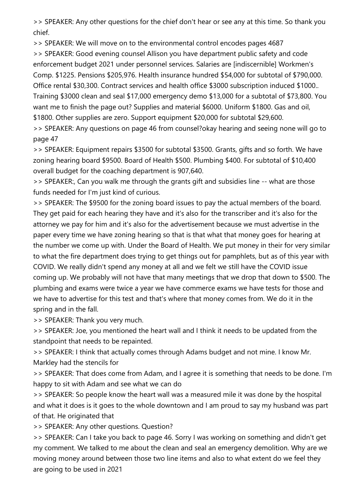>> SPEAKER: Any other questions for the chief don't hear or see any at this time. So thank you chief.

>> SPEAKER: We will move on to the environmental control encodes pages 4687

>> SPEAKER: Good evening counsel Allison you have department public safety and code enforcement budget 2021 under personnel services. Salaries are [indiscernible] Workmen's Comp. \$1225. Pensions \$205,976. Health insurance hundred \$54,000 for subtotal of \$790,000. Office rental \$30,300. Contract services and health office \$3000 subscription induced \$1000.. Training \$3000 clean and seal \$17,000 emergency demo \$13,000 for a subtotal of \$73,800. You want me to finish the page out? Supplies and material \$6000. Uniform \$1800. Gas and oil, \$1800. Other supplies are zero. Support equipment \$20,000 for subtotal \$29,600. >> SPEAKER: Any questions on page 46 from counsel?okay hearing and seeing none will go to

page 47

>> SPEAKER: Equipment repairs \$3500 for subtotal \$3500. Grants, gifts and so forth. We have zoning hearing board \$9500. Board of Health \$500. Plumbing \$400. For subtotal of \$10,400 overall budget for the coaching department is 907,640.

>> SPEAKER:, Can you walk me through the grants gift and subsidies line -- what are those funds needed for I'm just kind of curious.

>> SPEAKER: The \$9500 for the zoning board issues to pay the actual members of the board. They get paid for each hearing they have and it's also for the transcriber and it's also for the attorney we pay for him and it's also for the advertisement because we must advertise in the paper every time we have zoning hearing so that is that what that money goes for hearing at the number we come up with. Under the Board of Health. We put money in their for very similar to what the fire department does trying to get things out for pamphlets, but as of this year with COVID. We really didn't spend any money at all and we felt we still have the COVID issue coming up. We probably will not have that many meetings that we drop that down to \$500. The plumbing and exams were twice a year we have commerce exams we have tests for those and we have to advertise for this test and that's where that money comes from. We do it in the spring and in the fall.

>> SPEAKER: Thank you very much.

>> SPEAKER: Joe, you mentioned the heart wall and I think it needs to be updated from the standpoint that needs to be repainted.

>> SPEAKER: I think that actually comes through Adams budget and not mine. I know Mr. Markley had the stencils for

>> SPEAKER: That does come from Adam, and I agree it is something that needs to be done. I'm happy to sit with Adam and see what we can do

>> SPEAKER: So people know the heart wall was a measured mile it was done by the hospital and what it does is it goes to the whole downtown and I am proud to say my husband was part of that. He originated that

>> SPEAKER: Any other questions. Question?

>> SPEAKER: Can I take you back to page 46. Sorry I was working on something and didn't get my comment. We talked to me about the clean and seal an emergency demolition. Why are we moving money around between those two line items and also to what extent do we feel they are going to be used in 2021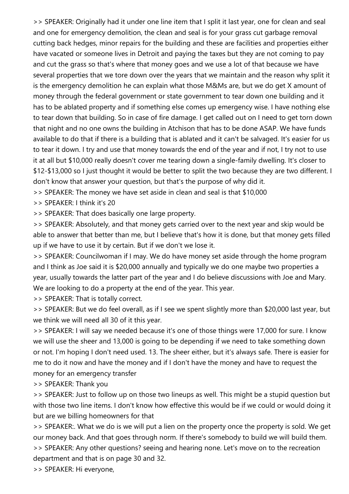>> SPEAKER: Originally had it under one line item that I split it last year, one for clean and seal and one for emergency demolition, the clean and seal is for your grass cut garbage removal cutting back hedges, minor repairs for the building and these are facilities and properties either have vacated or someone lives in Detroit and paying the taxes but they are not coming to pay and cut the grass so that's where that money goes and we use a lot of that because we have several properties that we tore down over the years that we maintain and the reason why split it is the emergency demolition he can explain what those M&Ms are, but we do get X amount of money through the federal government or state government to tear down one building and it has to be ablated property and if something else comes up emergency wise. I have nothing else to tear down that building. So in case of fire damage. I get called out on I need to get torn down that night and no one owns the building in Atchison that has to be done ASAP. We have funds available to do that if there is a building that is ablated and it can't be salvaged. It's easier for us to tear it down. I try and use that money towards the end of the year and if not, I try not to use it at all but \$10,000 really doesn't cover me tearing down a single-family dwelling. It's closer to \$12-\$13,000 so I just thought it would be better to split the two because they are two different. I don't know that answer your question, but that's the purpose of why did it.

>> SPEAKER: The money we have set aside in clean and seal is that \$10,000

>> SPEAKER: I think it's 20

>> SPEAKER: That does basically one large property.

>> SPEAKER: Absolutely, and that money gets carried over to the next year and skip would be able to answer that better than me, but I believe that's how it is done, but that money gets filled up if we have to use it by certain. But if we don't we lose it.

>> SPEAKER: Councilwoman if I may. We do have money set aside through the home program and I think as Joe said it is \$20,000 annually and typically we do one maybe two properties a year, usually towards the latter part of the year and I do believe discussions with Joe and Mary. We are looking to do a property at the end of the year. This year.

>> SPEAKER: That is totally correct.

>> SPEAKER: But we do feel overall, as if I see we spent slightly more than \$20,000 last year, but we think we will need all 30 of it this year.

>> SPEAKER: I will say we needed because it's one of those things were 17,000 for sure. I know we will use the sheer and 13,000 is going to be depending if we need to take something down or not. I'm hoping I don't need used. 13. The sheer either, but it's always safe. There is easier for me to do it now and have the money and if I don't have the money and have to request the money for an emergency transfer

>> SPEAKER: Thank you

>> SPEAKER: Just to follow up on those two lineups as well. This might be a stupid question but with those two line items. I don't know how effective this would be if we could or would doing it but are we billing homeowners for that

>> SPEAKER:. What we do is we will put a lien on the property once the property is sold. We get our money back. And that goes through norm. If there's somebody to build we will build them. >> SPEAKER: Any other questions? seeing and hearing none. Let's move on to the recreation department and that is on page 30 and 32.

>> SPEAKER: Hi everyone,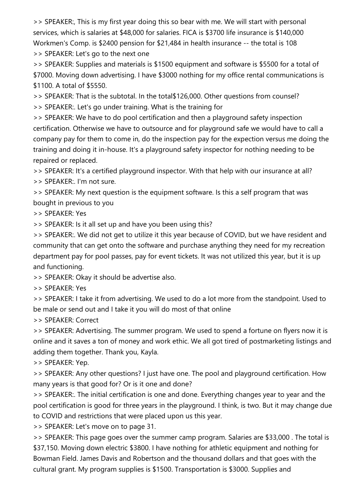>> SPEAKER:, This is my first year doing this so bear with me. We will start with personal services, which is salaries at \$48,000 for salaries. FICA is \$3700 life insurance is \$140,000 Workmen's Comp. is \$2400 pension for \$21,484 in health insurance -- the total is 108 >> SPEAKER: Let's go to the next one

>> SPEAKER: Supplies and materials is \$1500 equipment and software is \$5500 for a total of \$7000. Moving down advertising. I have \$3000 nothing for my office rental communications is \$1100. A total of \$5550.

>> SPEAKER: That is the subtotal. In the total\$126,000. Other questions from counsel?

>> SPEAKER:. Let's go under training. What is the training for

>> SPEAKER: We have to do pool certification and then a playground safety inspection certification. Otherwise we have to outsource and for playground safe we would have to call a company pay for them to come in, do the inspection pay for the expection versus me doing the training and doing it in-house. It's a playground safety inspector for nothing needing to be repaired or replaced.

>> SPEAKER: It's a certified playground inspector. With that help with our insurance at all?

>> SPEAKER:. I'm not sure.

>> SPEAKER: My next question is the equipment software. Is this a self program that was bought in previous to you

>> SPEAKER: Yes

>> SPEAKER: Is it all set up and have you been using this?

>> SPEAKER:. We did not get to utilize it this year because of COVID, but we have resident and community that can get onto the software and purchase anything they need for my recreation department pay for pool passes, pay for event tickets. It was not utilized this year, but it is up and functioning.

>> SPEAKER: Okay it should be advertise also.

>> SPEAKER: Yes

>> SPEAKER: I take it from advertising. We used to do a lot more from the standpoint. Used to be male or send out and I take it you will do most of that online

>> SPEAKER: Correct

>> SPEAKER: Advertising. The summer program. We used to spend a fortune on flyers now it is online and it saves a ton of money and work ethic. We all got tired of postmarketing listings and adding them together. Thank you, Kayla.

>> SPEAKER: Yep.

>> SPEAKER: Any other questions? I just have one. The pool and playground certification. How many years is that good for? Or is it one and done?

>> SPEAKER:. The initial certification is one and done. Everything changes year to year and the pool certification is good for three years in the playground. I think, is two. But it may change due to COVID and restrictions that were placed upon us this year.

>> SPEAKER: Let's move on to page 31.

>> SPEAKER: This page goes over the summer camp program. Salaries are \$33,000 . The total is \$37,150. Moving down electric \$3800. I have nothing for athletic equipment and nothing for Bowman Field. James Davis and Robertson and the thousand dollars and that goes with the cultural grant. My program supplies is \$1500. Transportation is \$3000. Supplies and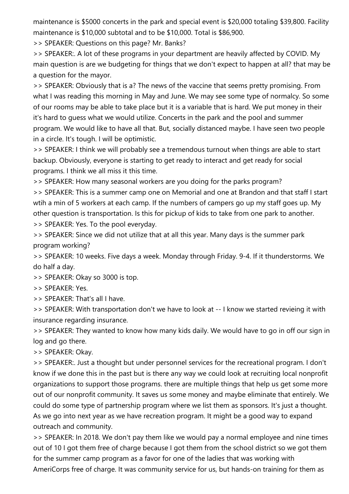maintenance is \$5000 concerts in the park and special event is \$20,000 totaling \$39,800. Facility maintenance is \$10,000 subtotal and to be \$10,000. Total is \$86,900.

>> SPEAKER: Questions on this page? Mr. Banks?

>> SPEAKER:. A lot of these programs in your department are heavily affected by COVID. My main question is are we budgeting for things that we don't expect to happen at all? that may be a question for the mayor.

>> SPEAKER: Obviously that is a? The news of the vaccine that seems pretty promising. From what I was reading this morning in May and June. We may see some type of normalcy. So some of our rooms may be able to take place but it is a variable that is hard. We put money in their it's hard to guess what we would utilize. Concerts in the park and the pool and summer program. We would like to have all that. But, socially distanced maybe. I have seen two people in a circle. It's tough. I will be optimistic.

>> SPEAKER: I think we will probably see a tremendous turnout when things are able to start backup. Obviously, everyone is starting to get ready to interact and get ready for social programs. I think we all miss it this time.

>> SPEAKER: How many seasonal workers are you doing for the parks program?

>> SPEAKER: This is a summer camp one on Memorial and one at Brandon and that staff I start wtih a min of 5 workers at each camp. If the numbers of campers go up my staff goes up. My other question is transportation. Is this for pickup of kids to take from one park to another.

>> SPEAKER: Yes. To the pool everyday.

>> SPEAKER: Since we did not utilize that at all this year. Many days is the summer park program working?

>> SPEAKER: 10 weeks. Five days a week. Monday through Friday. 9-4. If it thunderstorms. We do half a day.

>> SPEAKER: Okay so 3000 is top.

>> SPEAKER: Yes.

>> SPEAKER: That's all I have.

>> SPEAKER: With transportation don't we have to look at -- I know we started revieing it with insurance regarding insurance.

>> SPEAKER: They wanted to know how many kids daily. We would have to go in off our sign in log and go there.

>> SPEAKER: Okay.

>> SPEAKER:. Just a thought but under personnel services for the recreational program. I don't know if we done this in the past but is there any way we could look at recruiting local nonprofit organizations to support those programs. there are multiple things that help us get some more out of our nonprofit community. It saves us some money and maybe eliminate that entirely. We could do some type of partnership program where we list them as sponsors. It's just a thought. As we go into next year as we have recreation program. It might be a good way to expand outreach and community.

>> SPEAKER: In 2018. We don't pay them like we would pay a normal employee and nine times out of 10 I got them free of charge because I got them from the school district so we got them for the summer camp program as a favor for one of the ladies that was working with AmeriCorps free of charge. It was community service for us, but hands-on training for them as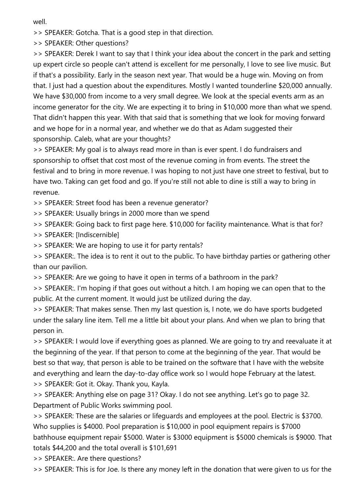well.

>> SPEAKER: Gotcha. That is a good step in that direction.

>> SPEAKER: Other questions?

>> SPEAKER: Derek I want to say that I think your idea about the concert in the park and setting up expert circle so people can't attend is excellent for me personally, I love to see live music. But if that's a possibility. Early in the season next year. That would be a huge win. Moving on from that. I just had a question about the expenditures. Mostly I wanted tounderline \$20,000 annually. We have \$30,000 from income to a very small degree. We look at the special events arm as an income generator for the city. We are expecting it to bring in \$10,000 more than what we spend. That didn't happen this year. With that said that is something that we look for moving forward and we hope for in a normal year, and whether we do that as Adam suggested their sponsorship. Caleb, what are your thoughts?

>> SPEAKER: My goal is to always read more in than is ever spent. I do fundraisers and sponsorship to offset that cost most of the revenue coming in from events. The street the festival and to bring in more revenue. I was hoping to not just have one street to festival, but to have two. Taking can get food and go. If you're still not able to dine is still a way to bring in revenue.

>> SPEAKER: Street food has been a revenue generator?

>> SPEAKER: Usually brings in 2000 more than we spend

>> SPEAKER: Going back to first page here. \$10,000 for facility maintenance. What is that for?

>> SPEAKER: [Indiscernible]

>> SPEAKER: We are hoping to use it for party rentals?

>> SPEAKER:. The idea is to rent it out to the public. To have birthday parties or gathering other than our pavilion.

>> SPEAKER: Are we going to have it open in terms of a bathroom in the park?

>> SPEAKER:. I'm hoping if that goes out without a hitch. I am hoping we can open that to the public. At the current moment. It would just be utilized during the day.

>> SPEAKER: That makes sense. Then my last question is, I note, we do have sports budgeted under the salary line item. Tell me a little bit about your plans. And when we plan to bring that person in.

>> SPEAKER: I would love if everything goes as planned. We are going to try and reevaluate it at the beginning of the year. If that person to come at the beginning of the year. That would be best so that way, that person is able to be trained on the software that I have with the website and everything and learn the day-to-day office work so I would hope February at the latest. >> SPEAKER: Got it. Okay. Thank you, Kayla.

>> SPEAKER: Anything else on page 31? Okay. I do not see anything. Let's go to page 32. Department of Public Works swimming pool.

>> SPEAKER: These are the salaries or lifeguards and employees at the pool. Electric is \$3700. Who supplies is \$4000. Pool preparation is \$10,000 in pool equipment repairs is \$7000 bathhouse equipment repair \$5000. Water is \$3000 equipment is \$5000 chemicals is \$9000. That totals \$44,200 and the total overall is \$101,691

>> SPEAKER:. Are there questions?

>> SPEAKER: This is for Joe. Is there any money left in the donation that were given to us for the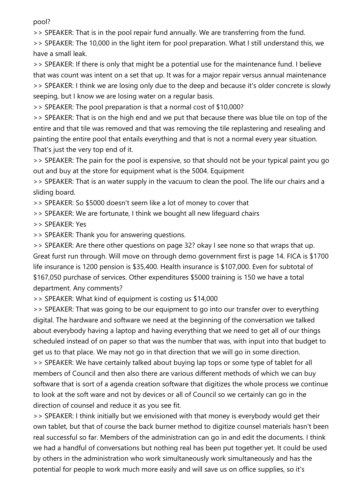pool?

>> SPEAKER: That is in the pool repair fund annually. We are transferring from the fund.

>> SPEAKER: The 10,000 in the light item for pool preparation. What I still understand this, we have a small leak.

>> SPEAKER: If there is only that might be a potential use for the maintenance fund. I believe that was count was intent on a set that up. It was for a major repair versus annual maintenance >> SPEAKER: I think we are losing only due to the deep and because it's older concrete is slowly seeping, but I know we are losing water on a regular basis.

>> SPEAKER: The pool preparation is that a normal cost of \$10,000?

>> SPEAKER: That is on the high end and we put that because there was blue tile on top of the entire and that tile was removed and that was removing the tile replastering and resealing and painting the entire pool that entails everything and that is not a normal every year situation. That's just the very top end of it.

>> SPEAKER: The pain for the pool is expensive, so that should not be your typical paint you go out and buy at the store for equipment what is the 5004. Equipment

>> SPEAKER: That is an water supply in the vacuum to clean the pool. The life our chairs and a sliding board.

>> SPEAKER: So \$5000 doesn't seem like a lot of money to cover that

>> SPEAKER: We are fortunate, I think we bought all new lifeguard chairs

>> SPEAKER: Yes

>> SPEAKER: Thank you for answering questions.

>> SPEAKER: Are there other questions on page 32? okay I see none so that wraps that up. Great furst run through. Will move on through demo government first is page 14. FICA is \$1700 life insurance is 1200 pension is \$35,400. Health insurance is \$107,000. Even for subtotal of \$167,050 purchase of services. Other expenditures \$5000 training is 150 we have a total department. Any comments?

>> SPEAKER: What kind of equipment is costing us \$14,000

>> SPEAKER: That was going to be our equipment to go into our transfer over to everything digital. The hardware and software we need at the beginning of the conversation we talked about everybody having a laptop and having everything that we need to get all of our things scheduled instead of on paper so that was the number that was, with input into that budget to get us to that place. We may not go in that direction that we will go in some direction. >> SPEAKER: We have certainly talked about buying lap tops or some type of tablet for all members of Council and then also there are various different methods of which we can buy software that is sort of a agenda creation software that digitizes the whole process we continue to look at the soft ware and not by devices or all of Council so we certainly can go in the direction of counsel and reduce it as you see fit.

>> SPEAKER: I think initially but we envisioned with that money is everybody would get their own tablet, but that of course the back burner method to digitize counsel materials hasn't been real successful so far. Members of the administration can go in and edit the documents. I think we had a handful of conversations but nothing real has been put together yet. It could be used by others in the administration who work simultaneously work simultaneously and has the potential for people to work much more easily and will save us on office supplies, so it's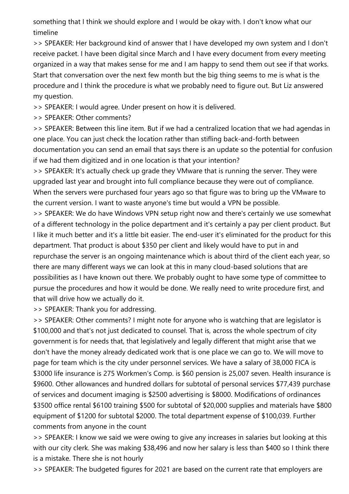something that I think we should explore and I would be okay with. I don't know what our timeline

>> SPEAKER: Her background kind of answer that I have developed my own system and I don't receive packet. I have been digital since March and I have every document from every meeting organized in a way that makes sense for me and I am happy to send them out see if that works. Start that conversation over the next few month but the big thing seems to me is what is the procedure and I think the procedure is what we probably need to figure out. But Liz answered my question.

>> SPEAKER: I would agree. Under present on how it is delivered.

>> SPEAKER: Other comments?

>> SPEAKER: Between this line item. But if we had a centralized location that we had agendas in one place. You can just check the location rather than stifling back-and-forth between documentation you can send an email that says there is an update so the potential for confusion if we had them digitized and in one location is that your intention?

>> SPEAKER: It's actually check up grade they VMware that is running the server. They were upgraded last year and brought into full compliance because they were out of compliance. When the servers were purchased four years ago so that figure was to bring up the VMware to the current version. I want to waste anyone's time but would a VPN be possible.

>> SPEAKER: We do have Windows VPN setup right now and there's certainly we use somewhat of a different technology in the police department and it's certainly a pay per client product. But I like it much better and it's a little bit easier. The end-user it's eliminated for the product for this department. That product is about \$350 per client and likely would have to put in and repurchase the server is an ongoing maintenance which is about third of the client each year, so there are many different ways we can look at this in many cloud-based solutions that are possibilities as I have known out there. We probably ought to have some type of committee to pursue the procedures and how it would be done. We really need to write procedure first, and that will drive how we actually do it.

>> SPEAKER: Thank you for addressing.

>> SPEAKER: Other comments? I might note for anyone who is watching that are legislator is \$100,000 and that's not just dedicated to counsel. That is, across the whole spectrum of city government is for needs that, that legislatively and legally different that might arise that we don't have the money already dedicated work that is one place we can go to. We will move to page for team which is the city under personnel services. We have a salary of 38,000 FICA is \$3000 life insurance is 275 Workmen's Comp. is \$60 pension is 25,007 seven. Health insurance is \$9600. Other allowances and hundred dollars for subtotal of personal services \$77,439 purchase of services and document imaging is \$2500 advertising is \$8000. Modifications of ordinances \$3500 office rental \$6100 training \$500 for subtotal of \$20,000 supplies and materials have \$800 equipment of \$1200 for subtotal \$2000. The total department expense of \$100,039. Further comments from anyone in the count

>> SPEAKER: I know we said we were owing to give any increases in salaries but looking at this with our city clerk. She was making \$38,496 and now her salary is less than \$400 so I think there is a mistake. There she is not hourly

>> SPEAKER: The budgeted figures for 2021 are based on the current rate that employers are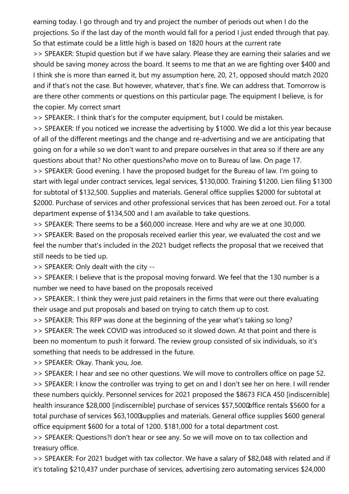earning today. I go through and try and project the number of periods out when I do the projections. So if the last day of the month would fall for a period I just ended through that pay. So that estimate could be a little high is based on 1820 hours at the current rate >> SPEAKER: Stupid question but if we have salary. Please they are earning their salaries and we should be saving money across the board. It seems to me that an we are fighting over \$400 and I think she is more than earned it, but my assumption here, 20, 21, opposed should match 2020 and if that's not the case. But however, whatever, that's fine. We can address that. Tomorrow is are there other comments or questions on this particular page. The equipment I believe, is for the copier. My correct smart

>> SPEAKER:. I think that's for the computer equipment, but I could be mistaken.

>> SPEAKER: If you noticed we increase the advertising by \$1000. We did a lot this year because of all of the different meetings and the change and re-advertising and we are anticipating that going on for a while so we don't want to and prepare ourselves in that area so if there are any questions about that? No other questions?who move on to Bureau of law. On page 17. >> SPEAKER: Good evening. I have the proposed budget for the Bureau of law. I'm going to start with legal under contract services, legal services, \$130,000. Training \$1200. Lien filing \$1300 for subtotal of \$132,500. Supplies and materials. General office supplies \$2000 for subtotal at \$2000. Purchase of services and other professional services that has been zeroed out. For a total department expense of \$134,500 and I am available to take questions.

>> SPEAKER: There seems to be a \$60,000 increase. Here and why are we at one 30,000.

>> SPEAKER: Based on the proposals received earlier this year, we evaluated the cost and we feel the number that's included in the 2021 budget reflects the proposal that we received that still needs to be tied up.

>> SPEAKER: Only dealt with the city --

>> SPEAKER: I believe that is the proposal moving forward. We feel that the 130 number is a number we need to have based on the proposals received

>> SPEAKER:. I think they were just paid retainers in the firms that were out there evaluating their usage and put proposals and based on trying to catch them up to cost.

>> SPEAKER: This RFP was done at the beginning of the year what's taking so long?

>> SPEAKER: The week COVID was introduced so it slowed down. At that point and there is been no momentum to push it forward. The review group consisted of six individuals, so it's something that needs to be addressed in the future.

>> SPEAKER: Okay. Thank you, Joe.

>> SPEAKER: I hear and see no other questions. We will move to controllers office on page 52. >> SPEAKER: I know the controller was trying to get on and I don't see her on here. I will render these numbers quickly. Personnel services for 2021 proposed the \$8673 FICA 450 [indiscernible] health insurance \$28,000 [indiscernible] purchase of services \$57,500 affice rentals \$5600 for a total purchase of services \$63,100 Bupplies and materials. General office supplies \$600 general office equipment \$600 for a total of 1200. \$181,000 for a total department cost.

>> SPEAKER: Questions?I don't hear or see any. So we will move on to tax collection and treasury office.

>> SPEAKER: For 2021 budget with tax collector. We have a salary of \$82,048 with related and if it's totaling \$210,437 under purchase of services, advertising zero automating services \$24,000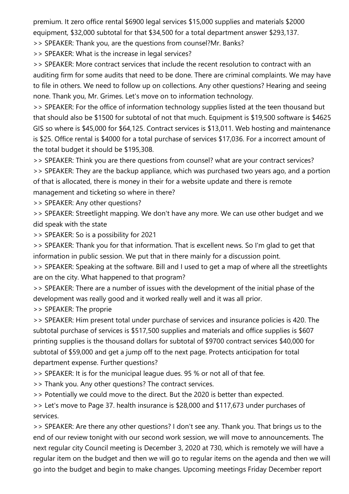premium. It zero office rental \$6900 legal services \$15,000 supplies and materials \$2000 equipment, \$32,000 subtotal for that \$34,500 for a total department answer \$293,137.

>> SPEAKER: Thank you, are the questions from counsel?Mr. Banks?

>> SPEAKER: What is the increase in legal services?

>> SPEAKER: More contract services that include the recent resolution to contract with an auditing firm for some audits that need to be done. There are criminal complaints. We may have to file in others. We need to follow up on collections. Any other questions? Hearing and seeing none. Thank you, Mr. Grimes. Let's move on to information technology.

>> SPEAKER: For the office of information technology supplies listed at the teen thousand but that should also be \$1500 for subtotal of not that much. Equipment is \$19,500 software is \$4625 GIS so where is \$45,000 for \$64,125. Contract services is \$13,011. Web hosting and maintenance is \$25. Office rental is \$4000 for a total purchase of services \$17,036. For a incorrect amount of the total budget it should be \$195,308.

>> SPEAKER: Think you are there questions from counsel? what are your contract services?

>> SPEAKER: They are the backup appliance, which was purchased two years ago, and a portion of that is allocated, there is money in their for a website update and there is remote management and ticketing so where in there?

>> SPEAKER: Any other questions?

>> SPEAKER: Streetlight mapping. We don't have any more. We can use other budget and we did speak with the state

>> SPEAKER: So is a possibility for 2021

>> SPEAKER: Thank you for that information. That is excellent news. So I'm glad to get that information in public session. We put that in there mainly for a discussion point.

>> SPEAKER: Speaking at the software. Bill and I used to get a map of where all the streetlights are on the city. What happened to that program?

>> SPEAKER: There are a number of issues with the development of the initial phase of the development was really good and it worked really well and it was all prior.

>> SPEAKER: The proprie

>> SPEAKER: Him present total under purchase of services and insurance policies is 420. The subtotal purchase of services is \$517,500 supplies and materials and office supplies is \$607 printing supplies is the thousand dollars for subtotal of \$9700 contract services \$40,000 for subtotal of \$59,000 and get a jump off to the next page. Protects anticipation for total department expense. Further questions?

>> SPEAKER: It is for the municipal league dues. 95 % or not all of that fee.

>> Thank you. Any other questions? The contract services.

>> Potentially we could move to the direct. But the 2020 is better than expected.

>> Let's move to Page 37. health insurance is \$28,000 and \$117,673 under purchases of services.

>> SPEAKER: Are there any other questions? I don't see any. Thank you. That brings us to the end of our review tonight with our second work session, we will move to announcements. The next regular city Council meeting is December 3, 2020 at 730, which is remotely we will have a regular item on the budget and then we will go to regular items on the agenda and then we will go into the budget and begin to make changes. Upcoming meetings Friday December report